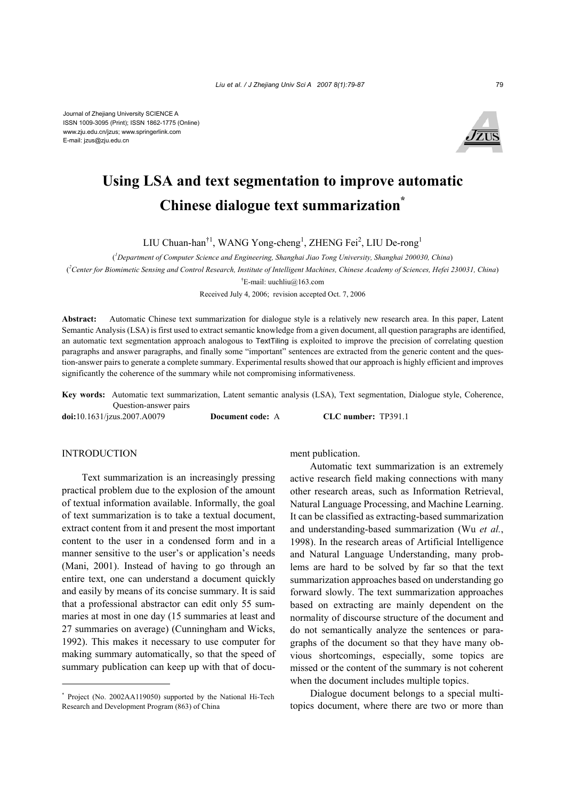

# **Using LSA and text segmentation to improve automatic Chinese dialogue text summarization\***

LIU Chuan-han<sup>†1</sup>, WANG Yong-cheng<sup>1</sup>, ZHENG Fei<sup>2</sup>, LIU De-rong<sup>1</sup>

( *1 Department of Computer Science and Engineering, Shanghai Jiao Tong University, Shanghai 200030, China*)

( *2 Center for Biomimetic Sensing and Control Research, Institute of Intelligent Machines, Chinese Academy of Sciences, Hefei 230031, China*)

† E-mail: uuchliu@163.com

Received July 4, 2006; revision accepted Oct. 7, 2006

**Abstract:** Automatic Chinese text summarization for dialogue style is a relatively new research area. In this paper, Latent Semantic Analysis (LSA) is first used to extract semantic knowledge from a given document, all question paragraphs are identified, an automatic text segmentation approach analogous to TextTiling is exploited to improve the precision of correlating question paragraphs and answer paragraphs, and finally some "important" sentences are extracted from the generic content and the question-answer pairs to generate a complete summary. Experimental results showed that our approach is highly efficient and improves significantly the coherence of the summary while not compromising informativeness.

**Key words:** Automatic text summarization, Latent semantic analysis (LSA), Text segmentation, Dialogue style, Coherence, Question-answer pairs

**doi:**10.1631/jzus.2007.A0079 **Document code:** A **CLC number:** TP391.1

# **INTRODUCTION**

Text summarization is an increasingly pressing practical problem due to the explosion of the amount of textual information available. Informally, the goal of text summarization is to take a textual document, extract content from it and present the most important content to the user in a condensed form and in a manner sensitive to the user's or application's needs (Mani, 2001). Instead of having to go through an entire text, one can understand a document quickly and easily by means of its concise summary. It is said that a professional abstractor can edit only 55 summaries at most in one day (15 summaries at least and 27 summaries on average) (Cunningham and Wicks, 1992). This makes it necessary to use computer for making summary automatically, so that the speed of summary publication can keep up with that of document publication.

Automatic text summarization is an extremely active research field making connections with many other research areas, such as Information Retrieval, Natural Language Processing, and Machine Learning. It can be classified as extracting-based summarization and understanding-based summarization (Wu *et al.*, 1998). In the research areas of Artificial Intelligence and Natural Language Understanding, many problems are hard to be solved by far so that the text summarization approaches based on understanding go forward slowly. The text summarization approaches based on extracting are mainly dependent on the normality of discourse structure of the document and do not semantically analyze the sentences or paragraphs of the document so that they have many obvious shortcomings, especially, some topics are missed or the content of the summary is not coherent when the document includes multiple topics.

Dialogue document belongs to a special multitopics document, where there are two or more than

<sup>\*</sup> Project (No. 2002AA119050) supported by the National Hi-Tech Research and Development Program (863) of China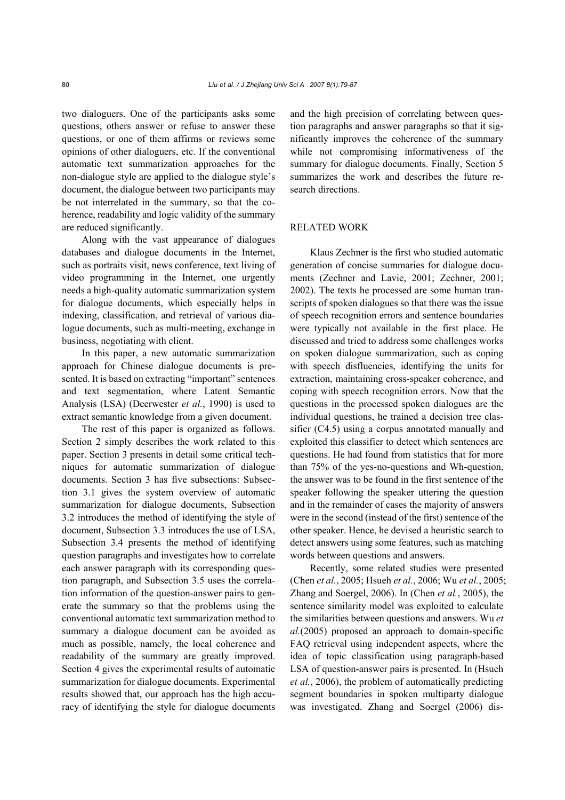two dialoguers. One of the participants asks some questions, others answer or refuse to answer these questions, or one of them affirms or reviews some opinions of other dialoguers, etc. If the conventional automatic text summarization approaches for the non-dialogue style are applied to the dialogue style's document, the dialogue between two participants may be not interrelated in the summary, so that the coherence, readability and logic validity of the summary are reduced significantly.

Along with the vast appearance of dialogues databases and dialogue documents in the Internet, such as portraits visit, news conference, text living of video programming in the Internet, one urgently needs a high-quality automatic summarization system for dialogue documents, which especially helps in indexing, classification, and retrieval of various dialogue documents, such as multi-meeting, exchange in business, negotiating with client.

In this paper, a new automatic summarization approach for Chinese dialogue documents is presented. It is based on extracting "important" sentences and text segmentation, where Latent Semantic Analysis (LSA) (Deerwester *et al.*, 1990) is used to extract semantic knowledge from a given document.

The rest of this paper is organized as follows. Section 2 simply describes the work related to this paper. Section 3 presents in detail some critical techniques for automatic summarization of dialogue documents. Section 3 has five subsections: Subsection 3.1 gives the system overview of automatic summarization for dialogue documents, Subsection 3.2 introduces the method of identifying the style of document, Subsection 3.3 introduces the use of LSA, Subsection 3.4 presents the method of identifying question paragraphs and investigates how to correlate each answer paragraph with its corresponding question paragraph, and Subsection 3.5 uses the correlation information of the question-answer pairs to generate the summary so that the problems using the conventional automatic text summarization method to summary a dialogue document can be avoided as much as possible, namely, the local coherence and readability of the summary are greatly improved. Section 4 gives the experimental results of automatic summarization for dialogue documents. Experimental results showed that, our approach has the high accuracy of identifying the style for dialogue documents

and the high precision of correlating between question paragraphs and answer paragraphs so that it significantly improves the coherence of the summary while not compromising informativeness of the summary for dialogue documents. Finally, Section 5 summarizes the work and describes the future research directions.

## RELATED WORK

Klaus Zechner is the first who studied automatic generation of concise summaries for dialogue documents (Zechner and Lavie, 2001; Zechner, 2001; 2002). The texts he processed are some human transcripts of spoken dialogues so that there was the issue of speech recognition errors and sentence boundaries were typically not available in the first place. He discussed and tried to address some challenges works on spoken dialogue summarization, such as coping with speech disfluencies, identifying the units for extraction, maintaining cross-speaker coherence, and coping with speech recognition errors. Now that the questions in the processed spoken dialogues are the individual questions, he trained a decision tree classifier (C4.5) using a corpus annotated manually and exploited this classifier to detect which sentences are questions. He had found from statistics that for more than 75% of the yes-no-questions and Wh-question, the answer was to be found in the first sentence of the speaker following the speaker uttering the question and in the remainder of cases the majority of answers were in the second (instead of the first) sentence of the other speaker. Hence, he devised a heuristic search to detect answers using some features, such as matching words between questions and answers.

Recently, some related studies were presented (Chen *et al.*, 2005; Hsueh *et al.*, 2006; Wu *et al.*, 2005; Zhang and Soergel, 2006). In (Chen *et al.*, 2005), the sentence similarity model was exploited to calculate the similarities between questions and answers. Wu *et al.*(2005) proposed an approach to domain-specific FAQ retrieval using independent aspects, where the idea of topic classification using paragraph-based LSA of question-answer pairs is presented. In (Hsueh *et al.*, 2006), the problem of automatically predicting segment boundaries in spoken multiparty dialogue was investigated. Zhang and Soergel (2006) dis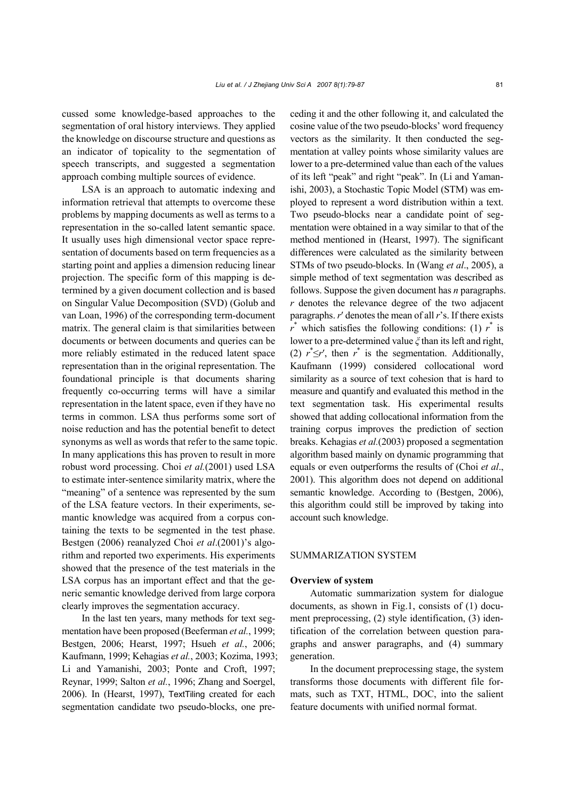cussed some knowledge-based approaches to the segmentation of oral history interviews. They applied the knowledge on discourse structure and questions as an indicator of topicality to the segmentation of speech transcripts, and suggested a segmentation approach combing multiple sources of evidence.

LSA is an approach to automatic indexing and information retrieval that attempts to overcome these problems by mapping documents as well as terms to a representation in the so-called latent semantic space. It usually uses high dimensional vector space representation of documents based on term frequencies as a starting point and applies a dimension reducing linear projection. The specific form of this mapping is determined by a given document collection and is based on Singular Value Decomposition (SVD) (Golub and van Loan, 1996) of the corresponding term-document matrix. The general claim is that similarities between documents or between documents and queries can be more reliably estimated in the reduced latent space representation than in the original representation. The foundational principle is that documents sharing frequently co-occurring terms will have a similar representation in the latent space, even if they have no terms in common. LSA thus performs some sort of noise reduction and has the potential benefit to detect synonyms as well as words that refer to the same topic. In many applications this has proven to result in more robust word processing. Choi *et al.*(2001) used LSA to estimate inter-sentence similarity matrix, where the "meaning" of a sentence was represented by the sum of the LSA feature vectors. In their experiments, semantic knowledge was acquired from a corpus containing the texts to be segmented in the test phase. Bestgen (2006) reanalyzed Choi *et al*.(2001)'s algorithm and reported two experiments. His experiments showed that the presence of the test materials in the LSA corpus has an important effect and that the generic semantic knowledge derived from large corpora clearly improves the segmentation accuracy.

In the last ten years, many methods for text segmentation have been proposed (Beeferman *et al.*, 1999; Bestgen, 2006; Hearst, 1997; Hsueh *et al.*, 2006; Kaufmann, 1999; Kehagias *et al.*, 2003; Kozima, 1993; Li and Yamanishi, 2003; Ponte and Croft, 1997; Reynar, 1999; Salton *et al.*, 1996; Zhang and Soergel, 2006). In (Hearst, 1997), TextTiling created for each segmentation candidate two pseudo-blocks, one preceding it and the other following it, and calculated the cosine value of the two pseudo-blocks' word frequency vectors as the similarity. It then conducted the segmentation at valley points whose similarity values are lower to a pre-determined value than each of the values of its left "peak" and right "peak". In (Li and Yamanishi, 2003), a Stochastic Topic Model (STM) was employed to represent a word distribution within a text. Two pseudo-blocks near a candidate point of segmentation were obtained in a way similar to that of the method mentioned in (Hearst, 1997). The significant differences were calculated as the similarity between STMs of two pseudo-blocks. In (Wang *et al*., 2005), a simple method of text segmentation was described as follows. Suppose the given document has *n* paragraphs. *r* denotes the relevance degree of the two adjacent paragraphs. *r*′ denotes the mean of all *r*'s. If there exists  $r^*$  which satisfies the following conditions: (1)  $r^*$  is lower to a pre-determined value *ξ* than its left and right, (2)  $r^* \leq r'$ , then  $r^*$  is the segmentation. Additionally, Kaufmann (1999) considered collocational word similarity as a source of text cohesion that is hard to measure and quantify and evaluated this method in the text segmentation task. His experimental results showed that adding collocational information from the training corpus improves the prediction of section breaks. Kehagias *et al.*(2003) proposed a segmentation algorithm based mainly on dynamic programming that equals or even outperforms the results of (Choi *et al*., 2001). This algorithm does not depend on additional semantic knowledge. According to (Bestgen, 2006), this algorithm could still be improved by taking into account such knowledge.

# SUMMARIZATION SYSTEM

#### **Overview of system**

Automatic summarization system for dialogue documents, as shown in Fig.1, consists of (1) document preprocessing, (2) style identification, (3) identification of the correlation between question paragraphs and answer paragraphs, and (4) summary generation.

In the document preprocessing stage, the system transforms those documents with different file formats, such as TXT, HTML, DOC, into the salient feature documents with unified normal format.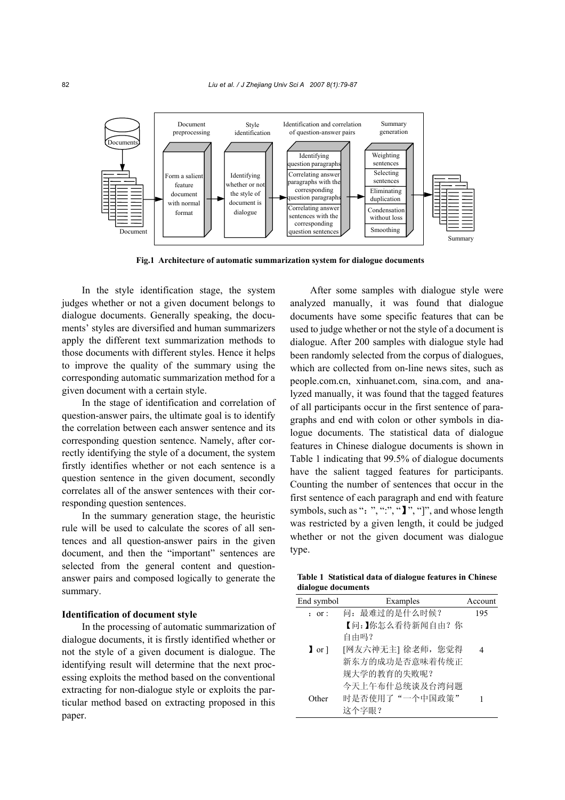

**Fig.1 Architecture of automatic summarization system for dialogue documents**

In the style identification stage, the system judges whether or not a given document belongs to dialogue documents. Generally speaking, the documents' styles are diversified and human summarizers apply the different text summarization methods to those documents with different styles. Hence it helps to improve the quality of the summary using the corresponding automatic summarization method for a given document with a certain style.

In the stage of identification and correlation of question-answer pairs, the ultimate goal is to identify the correlation between each answer sentence and its corresponding question sentence. Namely, after correctly identifying the style of a document, the system firstly identifies whether or not each sentence is a question sentence in the given document, secondly correlates all of the answer sentences with their corresponding question sentences.

In the summary generation stage, the heuristic rule will be used to calculate the scores of all sentences and all question-answer pairs in the given document, and then the "important" sentences are selected from the general content and questionanswer pairs and composed logically to generate the summary.

## **Identification of document style**

In the processing of automatic summarization of dialogue documents, it is firstly identified whether or not the style of a given document is dialogue. The identifying result will determine that the next processing exploits the method based on the conventional extracting for non-dialogue style or exploits the particular method based on extracting proposed in this paper.

After some samples with dialogue style were analyzed manually, it was found that dialogue documents have some specific features that can be used to judge whether or not the style of a document is dialogue. After 200 samples with dialogue style had been randomly selected from the corpus of dialogues, which are collected from on-line news sites, such as people.com.cn, xinhuanet.com, sina.com, and analyzed manually, it was found that the tagged features of all participants occur in the first sentence of paragraphs and end with colon or other symbols in dialogue documents. The statistical data of dialogue features in Chinese dialogue documents is shown in Table 1 indicating that 99.5% of dialogue documents have the salient tagged features for participants. Counting the number of sentences that occur in the first sentence of each paragraph and end with feature symbols, such as ": ", ".", "]", "]", and whose length was restricted by a given length, it could be judged whether or not the given document was dialogue type.

**Table 1 Statistical data of dialogue features in Chinese dialogue documents** 

| End symbol     | Examples         | Account |
|----------------|------------------|---------|
| : 0r:          | 问: 最难过的是什么时候?    | 195     |
|                | 【问:】你怎么看待新闻自由? 你 |         |
|                | 自由吗?             |         |
| $\ln$ or $\ln$ | [网友六神无主] 徐老师,您觉得 |         |
|                | 新东方的成功是否意味着传统正   |         |
|                | 规大学的教育的失败呢?      |         |
|                | 今天上午布什总统谈及台湾问题   |         |
| Other          | 时是否使用了"一个中国政策"   |         |
|                | 这个字眼?            |         |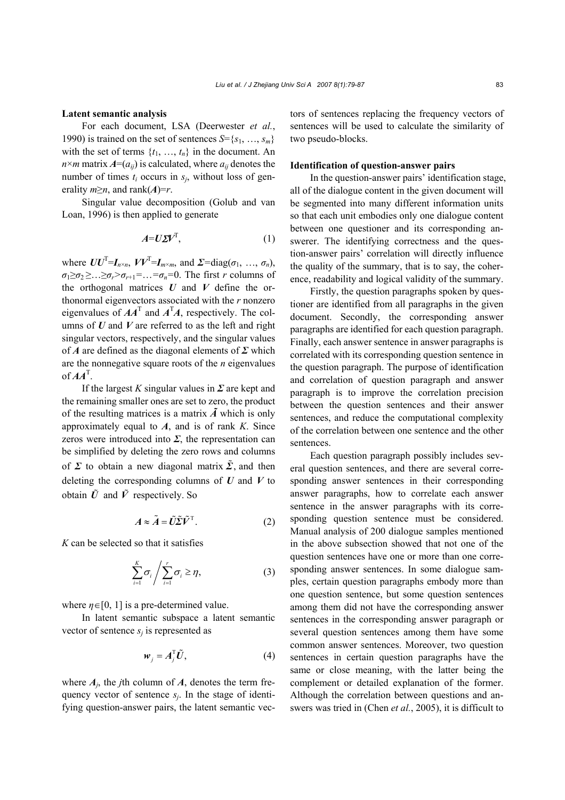#### **Latent semantic analysis**

For each document, LSA (Deerwester *et al.*, 1990) is trained on the set of sentences  $S = \{s_1, \ldots, s_m\}$ with the set of terms  $\{t_1, \ldots, t_n\}$  in the document. An  $n \times m$  matrix  $A = (a_{ij})$  is calculated, where  $a_{ij}$  denotes the number of times  $t_i$  occurs in  $s_i$ , without loss of generality  $m \geq n$ , and rank $(A)=r$ .

Singular value decomposition (Golub and van Loan, 1996) is then applied to generate

$$
A = U \Sigma V^{\mathrm{T}}, \tag{1}
$$

where  $UU^T = I_{n \times n}$ ,  $VV^T = I_{m \times m}$ , and  $\Sigma = \text{diag}(\sigma_1, \ldots, \sigma_n)$ ,  $\sigma_1 \geq \sigma_2 \geq \ldots \geq \sigma_r > \sigma_{r+1} = \ldots = \sigma_n = 0$ . The first *r* columns of the orthogonal matrices *U* and *V* define the orthonormal eigenvectors associated with the *r* nonzero eigenvalues of  $AA<sup>T</sup>$  and  $A<sup>T</sup>A$ , respectively. The columns of  $U$  and  $V$  are referred to as the left and right singular vectors, respectively, and the singular values of *A* are defined as the diagonal elements of *Σ* which are the nonnegative square roots of the *n* eigenvalues of  $AA<sup>T</sup>$ .

If the largest *K* singular values in *Σ* are kept and the remaining smaller ones are set to zero, the product of the resulting matrices is a matrix  $\tilde{A}$  which is only approximately equal to *A*, and is of rank *K*. Since zeros were introduced into  $\Sigma$ , the representation can be simplified by deleting the zero rows and columns of  $\Sigma$  to obtain a new diagonal matrix  $\tilde{\Sigma}$ , and then deleting the corresponding columns of  $U$  and  $V$  to obtain  $\tilde{U}$  and  $\tilde{V}$  respectively. So

$$
A \approx \tilde{A} = \tilde{U}\tilde{\Sigma}\tilde{V}^{\mathrm{T}}.
$$
 (2)

*K* can be selected so that it satisfies

$$
\sum_{i=1}^{K} \sigma_i / \sum_{i=1}^{r} \sigma_i \ge \eta,
$$
\n(3)

where  $\eta \in [0, 1]$  is a pre-determined value.

In latent semantic subspace a latent semantic vector of sentence  $s_i$  is represented as

$$
w_j = A_j^{\mathrm{T}} \tilde{U}, \tag{4}
$$

where  $A_i$ , the *j*th column of  $A$ , denotes the term frequency vector of sentence *sj*. In the stage of identifying question-answer pairs, the latent semantic vectors of sentences replacing the frequency vectors of sentences will be used to calculate the similarity of two pseudo-blocks.

## **Identification of question-answer pairs**

In the question-answer pairs' identification stage, all of the dialogue content in the given document will be segmented into many different information units so that each unit embodies only one dialogue content between one questioner and its corresponding answerer. The identifying correctness and the question-answer pairs' correlation will directly influence the quality of the summary, that is to say, the coherence, readability and logical validity of the summary.

Firstly, the question paragraphs spoken by questioner are identified from all paragraphs in the given document. Secondly, the corresponding answer paragraphs are identified for each question paragraph. Finally, each answer sentence in answer paragraphs is correlated with its corresponding question sentence in the question paragraph. The purpose of identification and correlation of question paragraph and answer paragraph is to improve the correlation precision between the question sentences and their answer sentences, and reduce the computational complexity of the correlation between one sentence and the other sentences.

Each question paragraph possibly includes several question sentences, and there are several corresponding answer sentences in their corresponding answer paragraphs, how to correlate each answer sentence in the answer paragraphs with its corresponding question sentence must be considered. Manual analysis of 200 dialogue samples mentioned in the above subsection showed that not one of the question sentences have one or more than one corresponding answer sentences. In some dialogue samples, certain question paragraphs embody more than one question sentence, but some question sentences among them did not have the corresponding answer sentences in the corresponding answer paragraph or several question sentences among them have some common answer sentences. Moreover, two question sentences in certain question paragraphs have the same or close meaning, with the latter being the complement or detailed explanation of the former. Although the correlation between questions and answers was tried in (Chen *et al.*, 2005), it is difficult to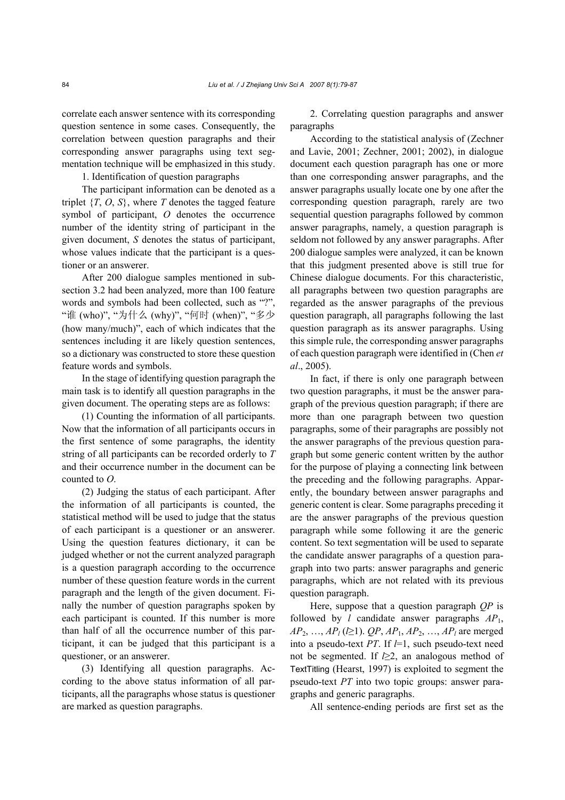correlate each answer sentence with its corresponding question sentence in some cases. Consequently, the correlation between question paragraphs and their corresponding answer paragraphs using text segmentation technique will be emphasized in this study.

1. Identification of question paragraphs

The participant information can be denoted as a triplet  $\{T, O, S\}$ , where *T* denotes the tagged feature symbol of participant, *O* denotes the occurrence number of the identity string of participant in the given document, *S* denotes the status of participant, whose values indicate that the participant is a questioner or an answerer.

After 200 dialogue samples mentioned in subsection 3.2 had been analyzed, more than 100 feature words and symbols had been collected, such as "?", "谁 (who)", "为什么 (why)", "何时 (when)", "多少 (how many/much)", each of which indicates that the sentences including it are likely question sentences, so a dictionary was constructed to store these question feature words and symbols.

In the stage of identifying question paragraph the main task is to identify all question paragraphs in the given document. The operating steps are as follows:

(1) Counting the information of all participants. Now that the information of all participants occurs in the first sentence of some paragraphs, the identity string of all participants can be recorded orderly to *T* and their occurrence number in the document can be counted to *O*.

(2) Judging the status of each participant. After the information of all participants is counted, the statistical method will be used to judge that the status of each participant is a questioner or an answerer. Using the question features dictionary, it can be judged whether or not the current analyzed paragraph is a question paragraph according to the occurrence number of these question feature words in the current paragraph and the length of the given document. Finally the number of question paragraphs spoken by each participant is counted. If this number is more than half of all the occurrence number of this participant, it can be judged that this participant is a questioner, or an answerer.

(3) Identifying all question paragraphs. According to the above status information of all participants, all the paragraphs whose status is questioner are marked as question paragraphs.

2. Correlating question paragraphs and answer paragraphs

According to the statistical analysis of (Zechner and Lavie, 2001; Zechner, 2001; 2002), in dialogue document each question paragraph has one or more than one corresponding answer paragraphs, and the answer paragraphs usually locate one by one after the corresponding question paragraph, rarely are two sequential question paragraphs followed by common answer paragraphs, namely, a question paragraph is seldom not followed by any answer paragraphs. After 200 dialogue samples were analyzed, it can be known that this judgment presented above is still true for Chinese dialogue documents. For this characteristic, all paragraphs between two question paragraphs are regarded as the answer paragraphs of the previous question paragraph, all paragraphs following the last question paragraph as its answer paragraphs. Using this simple rule, the corresponding answer paragraphs of each question paragraph were identified in (Chen *et al*., 2005).

In fact, if there is only one paragraph between two question paragraphs, it must be the answer paragraph of the previous question paragraph; if there are more than one paragraph between two question paragraphs, some of their paragraphs are possibly not the answer paragraphs of the previous question paragraph but some generic content written by the author for the purpose of playing a connecting link between the preceding and the following paragraphs. Apparently, the boundary between answer paragraphs and generic content is clear. Some paragraphs preceding it are the answer paragraphs of the previous question paragraph while some following it are the generic content. So text segmentation will be used to separate the candidate answer paragraphs of a question paragraph into two parts: answer paragraphs and generic paragraphs, which are not related with its previous question paragraph.

Here, suppose that a question paragraph *QP* is followed by *l* candidate answer paragraphs *AP*1, *AP*<sub>2</sub>, …, *AP*<sub>1</sub> ( $l \ge 1$ ). *QP*, *AP*<sub>1</sub>, *AP*<sub>2</sub>, …, *AP*<sub>1</sub> are merged into a pseudo-text *PT*. If *l*=1, such pseudo-text need not be segmented. If *l*≥2, an analogous method of TextTitling (Hearst, 1997) is exploited to segment the pseudo-text *PT* into two topic groups: answer paragraphs and generic paragraphs.

All sentence-ending periods are first set as the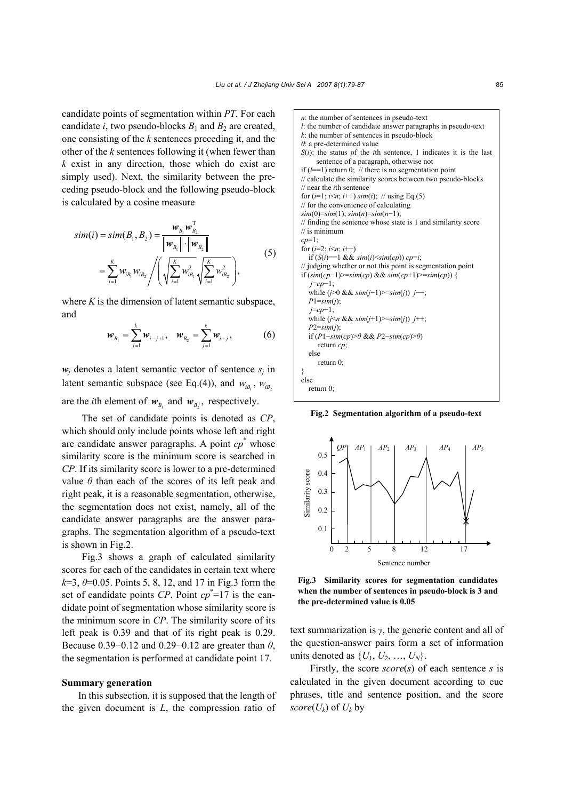candidate points of segmentation within *PT*. For each candidate *i*, two pseudo-blocks  $B_1$  and  $B_2$  are created, one consisting of the *k* sentences preceding it, and the other of the *k* sentences following it (when fewer than *k* exist in any direction, those which do exist are simply used). Next, the similarity between the preceding pseudo-block and the following pseudo-block is calculated by a cosine measure

$$
sim(i) = sim(B_1, B_2) = \frac{w_{B_1} w_{B_2}^{\mathrm{T}}}{\|w_{B_1}\| \cdot \|w_{B_2}\|} = \sum_{i=1}^{K} w_{iB_1} w_{iB_2} \Bigg/ \Bigg( \sqrt{\sum_{i=1}^{K} w_{iB_1}^2} \sqrt{\sum_{i=1}^{K} w_{iB_2}^2} \Bigg), \tag{5}
$$

where  $K$  is the dimension of latent semantic subspace, and

$$
\mathbf{w}_{B_1} = \sum_{j=1}^k \mathbf{w}_{i-j+1}, \quad \mathbf{w}_{B_2} = \sum_{j=1}^k \mathbf{w}_{i+j}, \tag{6}
$$

 $w_i$  denotes a latent semantic vector of sentence  $s_i$  in latent semantic subspace (see Eq.(4)), and  $w_{iB_1}$ ,  $w_{iB_2}$ are the *i*th element of  $w_{B_1}$  and  $w_{B_2}$ , respectively.

The set of candidate points is denoted as *CP*, which should only include points whose left and right are candidate answer paragraphs. A point  $cp^*$  whose similarity score is the minimum score is searched in *CP*. If its similarity score is lower to a pre-determined value  $\theta$  than each of the scores of its left peak and right peak, it is a reasonable segmentation, otherwise, the segmentation does not exist, namely, all of the candidate answer paragraphs are the answer paragraphs. The segmentation algorithm of a pseudo-text is shown in Fig.2.

Fig.3 shows a graph of calculated similarity scores for each of the candidates in certain text where *k*=3, *θ*=0.05. Points 5, 8, 12, and 17 in Fig.3 form the set of candidate points *CP*. Point  $cp^* = 17$  is the candidate point of segmentation whose similarity score is the minimum score in *CP*. The similarity score of its left peak is 0.39 and that of its right peak is 0.29. Because 0.39−0.12 and 0.29−0.12 are greater than *θ*, the segmentation is performed at candidate point 17.

## **Summary generation**

In this subsection, it is supposed that the length of the given document is *L*, the compression ratio of

*n*: the number of sentences in pseudo-text *l*: the number of candidate answer paragraphs in pseudo-text *k*: the number of sentences in pseudo-block *θ*: a pre-determined value  $S(i)$ : the status of the *i*th sentence, 1 indicates it is the last sentence of a paragraph, otherwise not if  $(l=1)$  return 0; // there is no segmentation point // calculate the similarity scores between two pseudo-blocks // near the *i*th sentence for  $(i=1; i \leq n; i++)$  *sim* $(i);$  // using Eq.(5) // for the convenience of calculating *sim*(0)=*sim*(1); *sim*(*n*)=*sim*(*n*−1); // finding the sentence whose state is 1 and similarity score // is minimum *cp*=1; for  $(i=2; i \leq n; i++)$  if (*S*(*i*)==1 && *sim*(*i*)<*sim*(*cp*)) *cp*=*i*; // judging whether or not this point is segmentation point if (*sim*(*cp*−1)>=*sim*(*cp*) && *sim*(*cp*+1)>=*sim*(*cp*)) { *j*=*cp*−1; while (*j*>0 && *sim*(*j*−1)>=*sim*(*j*)) *j*−−; *P*1=*sim*(*j*); *j*=*cp*+1; while  $(j \le n \& \& \text{sim}(j+1) \ge \text{sim}(j))$   $j++;$  *P*2=*sim*(*j*); if (*P*1−*sim*(*cp*)>*θ* && *P*2−*sim*(*cp*)>*θ*) return *cp*; else return 0; } else return 0;

**Fig.2 Segmentation algorithm of a pseudo-text**



**Fig.3 Similarity scores for segmentation candidates when the number of sentences in pseudo-block is 3 and the pre-determined value is 0.05** 

text summarization is *γ*, the generic content and all of the question-answer pairs form a set of information units denoted as  $\{U_1, U_2, ..., U_N\}$ .

Firstly, the score *score*(*s*) of each sentence *s* is calculated in the given document according to cue phrases, title and sentence position, and the score *score*(*Uk*) of *Uk* by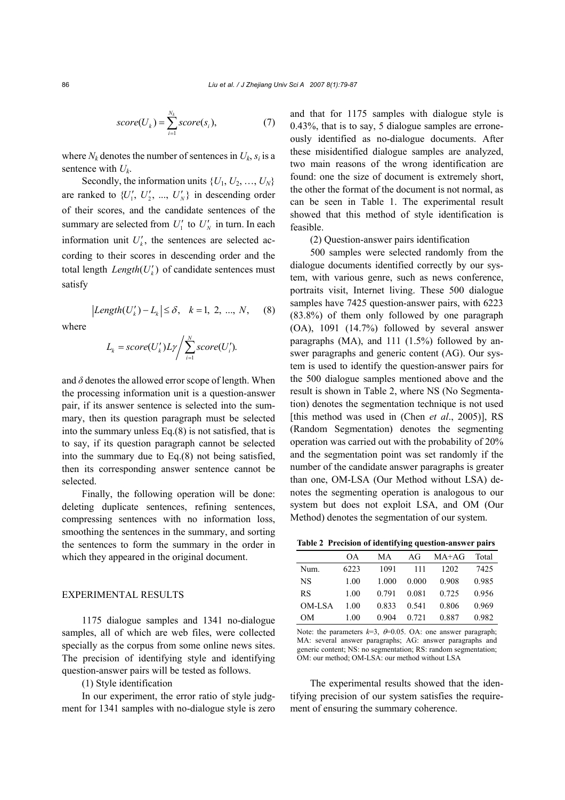$$
score(U_k) = \sum_{i=1}^{N_k} score(s_i), \qquad (7)
$$

where  $N_k$  denotes the number of sentences in  $U_k$ ,  $s_i$  is a sentence with *Uk*.

Secondly, the information units  $\{U_1, U_2, ..., U_N\}$ are ranked to  $\{U'_1, U'_2, ..., U'_N\}$  in descending order of their scores, and the candidate sentences of the summary are selected from  $U_1'$  to  $U_N'$  in turn. In each information unit  $U'_{k}$ , the sentences are selected according to their scores in descending order and the total length  $Length(U_k')$  of candidate sentences must satisfy

$$
|Length(U'_{k}) - L_{k}| \leq \delta, \quad k = 1, 2, ..., N, \quad (8)
$$

where

$$
L_k = score(U'_k)L\gamma \bigg/ \sum_{i=1}^N score(U'_i).
$$

and  $\delta$  denotes the allowed error scope of length. When the processing information unit is a question-answer pair, if its answer sentence is selected into the summary, then its question paragraph must be selected into the summary unless Eq.(8) is not satisfied, that is to say, if its question paragraph cannot be selected into the summary due to Eq.(8) not being satisfied, then its corresponding answer sentence cannot be selected.

Finally, the following operation will be done: deleting duplicate sentences, refining sentences, compressing sentences with no information loss, smoothing the sentences in the summary, and sorting the sentences to form the summary in the order in which they appeared in the original document.

# EXPERIMENTAL RESULTS

1175 dialogue samples and 1341 no-dialogue samples, all of which are web files, were collected specially as the corpus from some online news sites. The precision of identifying style and identifying question-answer pairs will be tested as follows.

(1) Style identification

In our experiment, the error ratio of style judgment for 1341 samples with no-dialogue style is zero and that for 1175 samples with dialogue style is 0.43%, that is to say, 5 dialogue samples are erroneously identified as no-dialogue documents. After these misidentified dialogue samples are analyzed, two main reasons of the wrong identification are found: one the size of document is extremely short, the other the format of the document is not normal, as can be seen in Table 1. The experimental result showed that this method of style identification is feasible.

(2) Question-answer pairs identification

500 samples were selected randomly from the dialogue documents identified correctly by our system, with various genre, such as news conference, portraits visit, Internet living. These 500 dialogue samples have 7425 question-answer pairs, with 6223 (83.8%) of them only followed by one paragraph (OA), 1091 (14.7%) followed by several answer paragraphs (MA), and 111 (1.5%) followed by answer paragraphs and generic content (AG). Our system is used to identify the question-answer pairs for the 500 dialogue samples mentioned above and the result is shown in Table 2, where NS (No Segmentation) denotes the segmentation technique is not used [this method was used in (Chen *et al*., 2005)], RS (Random Segmentation) denotes the segmenting operation was carried out with the probability of 20% and the segmentation point was set randomly if the number of the candidate answer paragraphs is greater than one, OM-LSA (Our Method without LSA) denotes the segmenting operation is analogous to our system but does not exploit LSA, and OM (Our Method) denotes the segmentation of our system.

**Table 2 Precision of identifying question-answer pairs**

|           | OΑ   | MA    | AG    | MA+AG | Total |
|-----------|------|-------|-------|-------|-------|
| Num.      | 6223 | 1091  | 111   | 1202  | 7425  |
| <b>NS</b> | 1.00 | 1.000 | 0.000 | 0.908 | 0.985 |
| <b>RS</b> | 1.00 | 0.791 | 0.081 | 0.725 | 0.956 |
| OM-LSA    | 1.00 | 0.833 | 0.541 | 0.806 | 0.969 |
| <b>OM</b> | 1.00 | 0.904 | 0.721 | 0.887 | 0.982 |

Note: the parameters  $k=3$ ,  $\theta=0.05$ . OA: one answer paragraph; MA: several answer paragraphs; AG: answer paragraphs and generic content; NS: no segmentation; RS: random segmentation; OM: our method; OM-LSA: our method without LSA

The experimental results showed that the identifying precision of our system satisfies the requirement of ensuring the summary coherence.